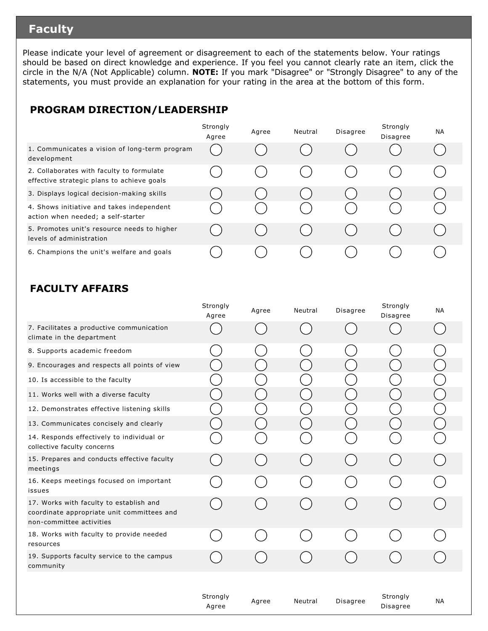### **Faculty**

Please indicate your level of agreement or disagreement to each of the statements below. Your ratings should be based on direct knowledge and experience. If you feel you cannot clearly rate an item, click the circle in the N/A (Not Applicable) column. **NOTE:** If you mark "Disagree" or "Strongly Disagree" to any of the statements, you must provide an explanation for your rating in the area at the bottom of this form.

#### **PROGRAM DIRECTION/LEADERSHIP**

|                                                                                         | Strongly<br>Agree | Agree | Neutral | <b>Disagree</b> | Strongly<br>Disagree | <b>NA</b> |
|-----------------------------------------------------------------------------------------|-------------------|-------|---------|-----------------|----------------------|-----------|
| 1. Communicates a vision of long-term program<br>development                            |                   |       |         |                 |                      |           |
| 2. Collaborates with faculty to formulate<br>effective strategic plans to achieve goals |                   |       |         |                 |                      |           |
| 3. Displays logical decision-making skills                                              |                   |       |         |                 |                      |           |
| 4. Shows initiative and takes independent<br>action when needed; a self-starter         |                   |       |         |                 |                      |           |
| 5. Promotes unit's resource needs to higher<br>levels of administration                 |                   |       |         |                 |                      |           |
| 6. Champions the unit's welfare and goals                                               |                   |       |         |                 |                      |           |

#### **FACULTY AFFAIRS**

|                                                                                                                   | Strongly<br>Agree | Agree | Neutral | <b>Disagree</b> | Strongly<br>Disagree | <b>NA</b> |
|-------------------------------------------------------------------------------------------------------------------|-------------------|-------|---------|-----------------|----------------------|-----------|
| 7. Facilitates a productive communication<br>climate in the department                                            |                   |       |         |                 |                      |           |
| 8. Supports academic freedom                                                                                      |                   |       |         |                 |                      |           |
| 9. Encourages and respects all points of view                                                                     |                   |       |         |                 |                      |           |
| 10. Is accessible to the faculty                                                                                  |                   |       |         |                 |                      |           |
| 11. Works well with a diverse faculty                                                                             |                   |       |         |                 |                      |           |
| 12. Demonstrates effective listening skills                                                                       |                   |       |         |                 |                      |           |
| 13. Communicates concisely and clearly                                                                            |                   |       |         |                 |                      |           |
| 14. Responds effectively to individual or<br>collective faculty concerns                                          |                   |       |         |                 |                      |           |
| 15. Prepares and conducts effective faculty<br>meetings                                                           |                   |       |         |                 |                      |           |
| 16. Keeps meetings focused on important<br>issues                                                                 |                   |       |         |                 |                      |           |
| 17. Works with faculty to establish and<br>coordinate appropriate unit committees and<br>non-committee activities |                   |       |         |                 |                      |           |
| 18. Works with faculty to provide needed<br>resources                                                             |                   |       |         |                 |                      |           |
| 19. Supports faculty service to the campus<br>community                                                           |                   |       |         |                 |                      |           |
|                                                                                                                   |                   |       |         |                 |                      |           |
|                                                                                                                   | Strongly<br>Agree | Agree | Neutral | <b>Disagree</b> | Strongly<br>Disagree | <b>NA</b> |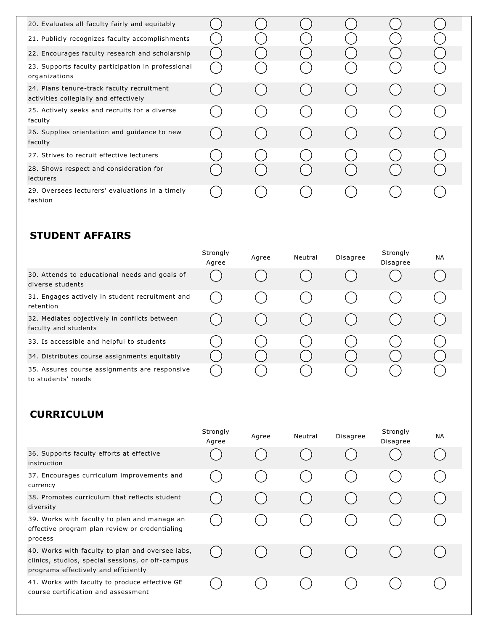| 20. Evaluates all faculty fairly and equitably                                       |  |  |  |
|--------------------------------------------------------------------------------------|--|--|--|
|                                                                                      |  |  |  |
| 21. Publicly recognizes faculty accomplishments                                      |  |  |  |
| 22. Encourages faculty research and scholarship                                      |  |  |  |
| 23. Supports faculty participation in professional<br>organizations                  |  |  |  |
| 24. Plans tenure-track faculty recruitment<br>activities collegially and effectively |  |  |  |
| 25. Actively seeks and recruits for a diverse<br>faculty                             |  |  |  |
| 26. Supplies orientation and guidance to new<br>faculty                              |  |  |  |
| 27. Strives to recruit effective lecturers                                           |  |  |  |
| 28. Shows respect and consideration for<br>lecturers                                 |  |  |  |
| 29. Oversees lecturers' evaluations in a timely<br>fashion                           |  |  |  |

### **STUDENT AFFAIRS**

|                                                                       | Strongly<br>Agree | Agree | Neutral | <b>Disagree</b> | Strongly<br>Disagree | <b>NA</b> |
|-----------------------------------------------------------------------|-------------------|-------|---------|-----------------|----------------------|-----------|
| 30. Attends to educational needs and goals of<br>diverse students     |                   |       |         |                 |                      |           |
| 31. Engages actively in student recruitment and<br>retention          |                   |       |         |                 |                      |           |
| 32. Mediates objectively in conflicts between<br>faculty and students |                   |       |         |                 |                      |           |
| 33. Is accessible and helpful to students                             |                   |       |         |                 |                      |           |
| 34. Distributes course assignments equitably                          |                   |       |         |                 |                      |           |
| 35. Assures course assignments are responsive<br>to students' needs   |                   |       |         |                 |                      |           |

### **CURRICULUM**

|                                                                                                                                               | Strongly<br>Agree | Agree | Neutral | Disagree | Strongly<br>Disagree | <b>NA</b> |
|-----------------------------------------------------------------------------------------------------------------------------------------------|-------------------|-------|---------|----------|----------------------|-----------|
| 36. Supports faculty efforts at effective<br>instruction                                                                                      |                   |       |         |          |                      |           |
| 37. Encourages curriculum improvements and<br>currency                                                                                        |                   |       |         |          |                      |           |
| 38. Promotes curriculum that reflects student<br>diversity                                                                                    |                   |       |         |          |                      |           |
| 39. Works with faculty to plan and manage an<br>effective program plan review or credentialing<br>process                                     |                   |       |         |          |                      |           |
| 40. Works with faculty to plan and oversee labs,<br>clinics, studios, special sessions, or off-campus<br>programs effectively and efficiently |                   |       |         |          |                      |           |
| 41. Works with faculty to produce effective GE<br>course certification and assessment                                                         |                   |       |         |          |                      |           |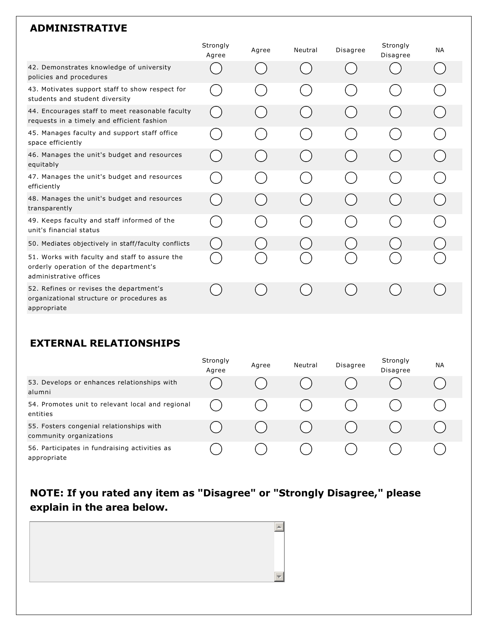#### **ADMINISTRATIVE**

|                                                                                                                   | Strongly<br>Agree | Agree | Neutral                               | <b>Disagree</b> | Strongly<br><b>Disagree</b> | <b>NA</b> |
|-------------------------------------------------------------------------------------------------------------------|-------------------|-------|---------------------------------------|-----------------|-----------------------------|-----------|
| 42. Demonstrates knowledge of university<br>policies and procedures                                               |                   |       |                                       |                 |                             |           |
| 43. Motivates support staff to show respect for<br>students and student diversity                                 |                   |       |                                       |                 |                             |           |
| 44. Encourages staff to meet reasonable faculty<br>requests in a timely and efficient fashion                     |                   |       | $\begin{pmatrix} 1 & 1 \end{pmatrix}$ |                 |                             |           |
| 45. Manages faculty and support staff office<br>space efficiently                                                 |                   |       |                                       |                 |                             |           |
| 46. Manages the unit's budget and resources<br>equitably                                                          |                   |       | $(\quad)$                             |                 |                             |           |
| 47. Manages the unit's budget and resources<br>efficiently                                                        |                   |       | $\sim$                                |                 |                             |           |
| 48. Manages the unit's budget and resources<br>transparently                                                      |                   |       | $\begin{pmatrix} 1 & 1 \end{pmatrix}$ |                 |                             |           |
| 49. Keeps faculty and staff informed of the<br>unit's financial status                                            |                   |       |                                       |                 |                             |           |
| 50. Mediates objectively in staff/faculty conflicts                                                               |                   |       |                                       |                 |                             |           |
| 51. Works with faculty and staff to assure the<br>orderly operation of the department's<br>administrative offices |                   |       |                                       |                 |                             |           |
| 52. Refines or revises the department's<br>organizational structure or procedures as<br>appropriate               |                   |       |                                       |                 |                             |           |

#### **EXTERNAL RELATIONSHIPS**

|                                                                     | Strongly<br>Agree | Agree | Neutral | Disagree | Strongly<br>Disagree | <b>NA</b> |
|---------------------------------------------------------------------|-------------------|-------|---------|----------|----------------------|-----------|
| 53. Develops or enhances relationships with<br>alumni               |                   |       |         |          |                      |           |
| 54. Promotes unit to relevant local and regional<br>entities        |                   |       |         |          |                      |           |
| 55. Fosters congenial relationships with<br>community organizations |                   |       |         |          |                      |           |
| 56. Participates in fundraising activities as<br>appropriate        |                   |       |         |          |                      |           |

## **NOTE: If you rated any item as "Disagree" or "Strongly Disagree," please explain in the area below.**